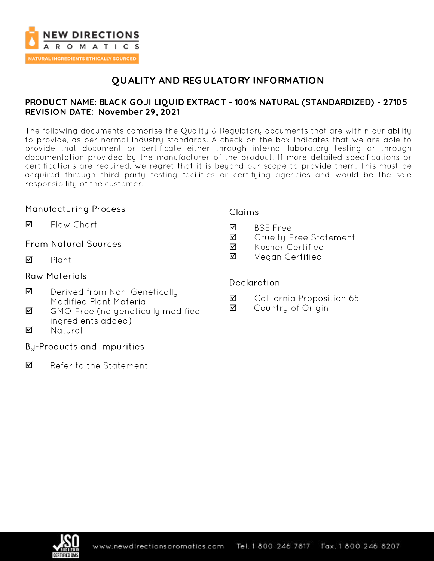

# **QUALITY AND REGULATORY INFORMATION**

### **PRODUC T NAME: BLAC K GOJI LIQUID EXTRAC T - 100% NATURAL (STANDARDIZED) - 27105 REVISION DATE: November 29, 2021**

The following documents comprise the Quality & Regulatory documents that are within our ability to provide, as per normal industry standards. A check on the box indicates that we are able to provide that document or certificate either through internal laboratory testing or through documentation provided by the manufacturer of the product. If more detailed specifications or certifications are required, we regret that it is beyond our scope to provide them. This must be acquired through third party testing facilities or certifying agencies and would be the sole responsibility of the customer.

### **Manufacturing Process**

☑ Flow Chart

**From Natural Sources** 

 $\triangledown$ Plant

### **Raw Materials**

- ☑ Derived from Non-Genetically Modified Plant Material
- ☑ GMO-Free (no genetically modified ingredients added)
- ☑ Natural

### **By-Products and Impurities**

☑ Refer to the Statement

### **Claims**

- **BSE Free** ☑
- ☑ Cruelty-Free Statement
- ☑ Kosher Certified
- ☑ Vegan Certified

### **Declaration**

- ☑ California Proposition 65
- ☑ Country of Origin

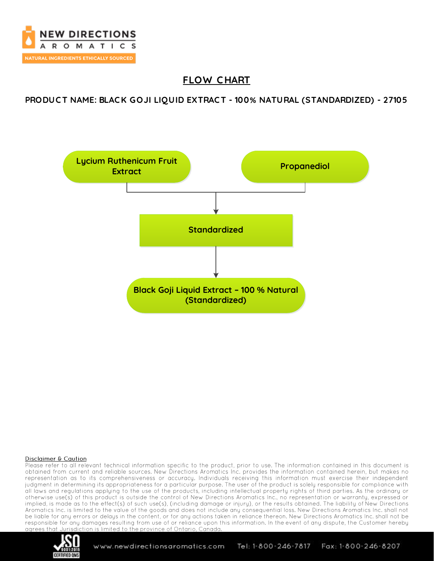

# **FLOW C HART**

**PRODUC T NAME: BLAC K GOJI LIQUID EXTRAC T - 100% NATURAL (STANDARDIZED) - 27105**



#### Disclaimer & Caution

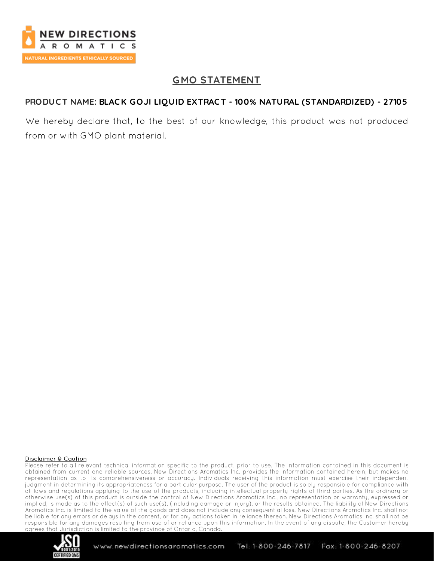

# **GMO STATEMENT**

## **PRODUC T NAME: BLAC K GOJI LIQUID EXTRAC T - 100% NATURAL (STANDARDIZED) - 27105**

We hereby declare that, to the best of our knowledge, this product was not produced from or with GMO plant material.

#### Disclaimer & Caution

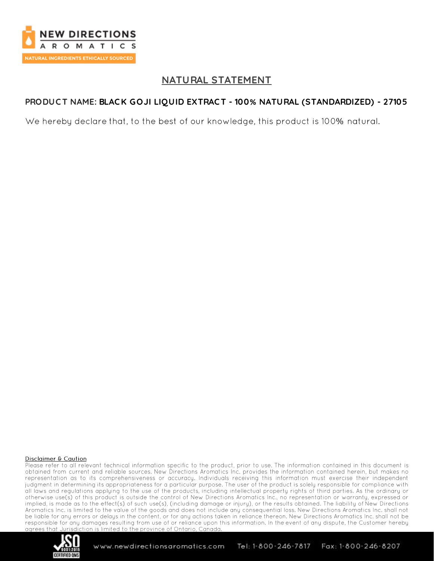

## **NATURAL STATEMENT**

## **PRODUC T NAME: BLAC K GOJI LIQUID EXTRAC T - 100% NATURAL (STANDARDIZED) - 27105**

We hereby declare that, to the best of our knowledge, this product is 100% natural.

#### Disclaimer & Caution

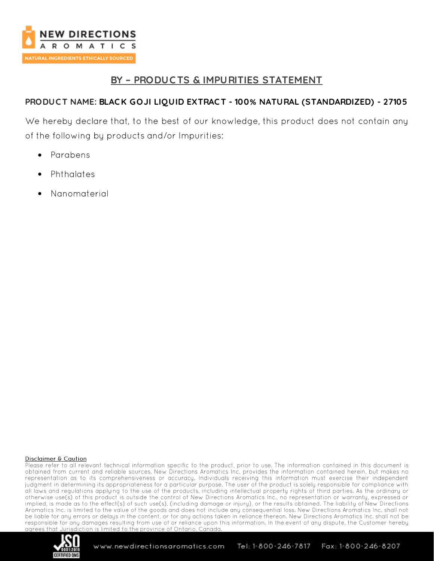

## **BY – PRODUC TS & IMPURITIES STATEMENT**

## **PRODUC T NAME: BLAC K GOJI LIQUID EXTRAC T - 100% NATURAL (STANDARDIZED) - 27105**

We hereby declare that, to the best of our knowledge, this product does not contain any of the following by products and/or Impurities:

- Parabens •
- Phthalates •
- •Nanomaterial

#### Disclaimer & Caution

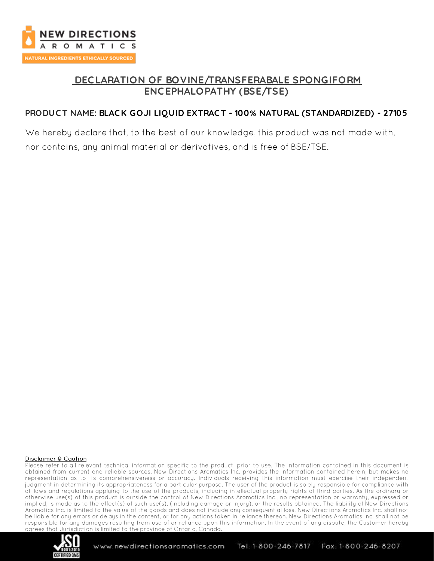

# **DEC LARATION OF BOVINE/TRANSFERABALE SPONGIFORM ENC EPHALOPATHY (BSE/TSE)**

## **PRODUC T NAME: BLAC K GOJI LIQUID EXTRAC T - 100% NATURAL (STANDARDIZED) - 27105**

We hereby declare that, to the best of our knowledge, this product was not made with, nor contains, any animal material or derivatives, and is free of BSE/TSE.

#### Disclaimer & Caution

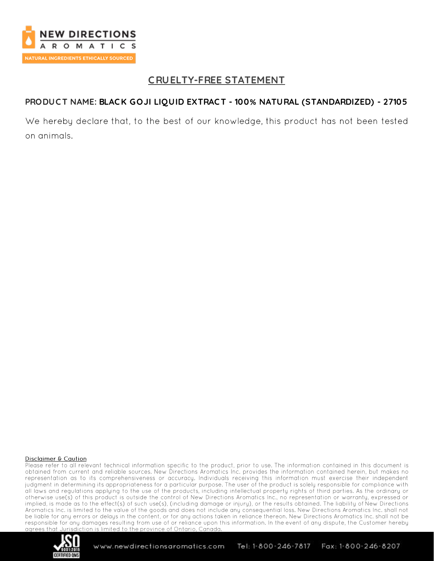

# **C RUELTY-FREE STATEMENT**

### **PRODUC T NAME: BLAC K GOJI LIQUID EXTRAC T - 100% NATURAL (STANDARDIZED) - 27105**

We hereby declare that, to the best of our knowledge, this product has not been tested on animals.

#### Disclaimer & Caution

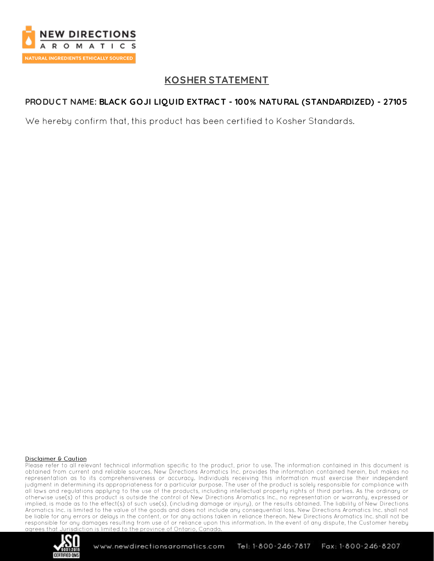

# **KOSHER STATEMENT**

## **PRODUC T NAME: BLAC K GOJI LIQUID EXTRAC T - 100% NATURAL (STANDARDIZED) - 27105**

We hereby confirm that, this product has been certified to Kosher Standards.

#### Disclaimer & Caution

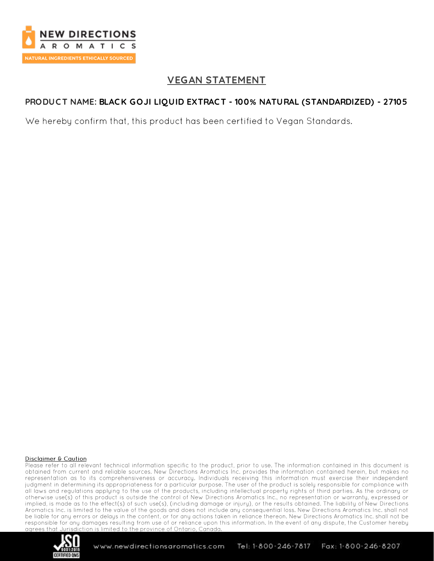

## **VEGAN STATEMENT**

### **PRODUC T NAME: BLAC K GOJI LIQUID EXTRAC T - 100% NATURAL (STANDARDIZED) - 27105**

We hereby confirm that, this product has been certified to Vegan Standards.

#### Disclaimer & Caution

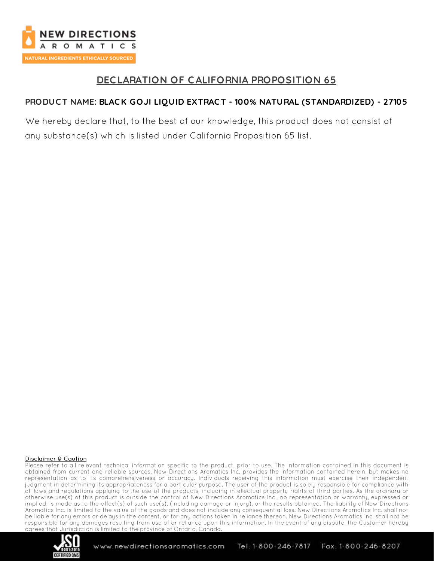

## **DEC LARATION OF CALIFORNIA PROPOSITION 65**

### **PRODUC T NAME: BLAC K GOJI LIQUID EXTRAC T - 100% NATURAL (STANDARDIZED) - 27105**

We hereby declare that, to the best of our knowledge, this product does not consist of any substance(s) which is listed under California Proposition 65 list.

#### Disclaimer & Caution